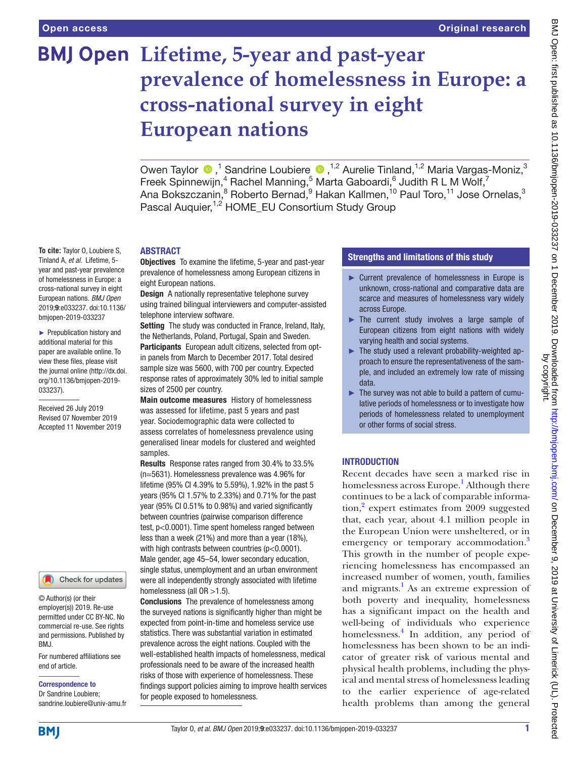**To cite:** Taylor O, Loubiere S, Tinland A, *et al*. Lifetime, 5 year and past-year prevalence of homelessness in Europe: a cross-national survey in eight European nations. *BMJ Open* 2019;9:e033237. doi:10.1136/ bmjopen-2019-033237 ► Prepublication history and additional material for this paper are available online. To view these files, please visit the journal online (http://dx.doi. org/10.1136/bmjopen-2019-

033237).

Received 26 July 2019 Revised 07 November 2019 Accepted 11 November 2019

# **BMJ Open Lifetime, 5-year and past-year prevalence of homelessness in Europe: a cross-national survey in eight European nations**

OwenTaylor  $\bigcirc$ ,<sup>1</sup> Sandrine Loubiere  $\bigcirc$ ,<sup>1,2</sup> Aurelie Tinland,<sup>1,2</sup> Maria Vargas-Moniz,<sup>3</sup> Freek Spinnewijn,<sup>4</sup> Rachel Manning,<sup>5</sup> Marta Gaboardi,<sup>6</sup> Judith R L M Wolf,<sup>7</sup> Ana Bokszczanin, $^8$  Roberto Bernad, $^9$  Hakan Kallmen, $^{10}$  Paul Toro, $^{11}$  Jose Ornelas, $^3$ Pascal Auquier,<sup>1,2</sup> HOME\_EU Consortium Study Group

### **ABSTRACT**

Objectives To examine the lifetime, 5-year and past-year prevalence of homelessness among European citizens in eight European nations.

**Design** A nationally representative telephone survey using trained bilingual interviewers and computer-assisted telephone interview software.

Setting The study was conducted in France, Ireland, Italy, the Netherlands, Poland, Portugal, Spain and Sweden. Participants European adult citizens, selected from opt-

sample size was 5600, with 700 per country. Expected response rates of approximately 30% led to initial sample sizes of 2500 per country.

Main outcome measures History of homelessness was assessed for lifetime, past 5 years and past year. Sociodemographic data were collected to assess correlates of homelessness prevalence using generalised linear models for clustered and weighted samples.

Results Response rates ranged from 30.4% to 33.5% (n=5631). Homelessness prevalence was 4.96% for lifetime (95% CI 4.39% to 5.59%), 1.92% in the past 5 years (95% CI 1.57% to 2.33%) and 0.71% for the past year (95% CI 0.51% to 0.98%) and varied significantly between countries (pairwise comparison difference test, p<0.0001). Time spent homeless ranged between less than a week (21%) and more than a year (18%), with high contrasts between countries (p<0.0001). Male gender, age 45–54, lower secondary education, single status, unemployment and an urban environment were all independently strongly associated with lifetime

Conclusions The prevalence of homelessness among the surveyed nations is significantly higher than might be expected from point-in-time and homeless service use statistics. There was substantial variation in estimated prevalence across the eight nations. Coupled with the well-established health impacts of homelessness, medical professionals need to be aware of the increased health risks of those with experience of homelessness. These findings support policies aiming to improve health services for people exposed to homelessness.

# Strengths and limitations of this study

- ► Current prevalence of homelessness in Europe is unknown, cross-national and comparative data are scarce and measures of homelessness vary widely across Europe.
- ► The current study involves a large sample of European citizens from eight nations with widely varying health and social systems.
- ► The study used a relevant probability-weighted approach to ensure the representativeness of the sample, and included an extremely low rate of missing data.
- ► The survey was not able to build a pattern of cumulative periods of homelessness or to investigate how periods of homelessness related to unemployment or other forms of social stress.

### **INTRODUCTION**

Recent decades have seen a marked rise in homelessness across Europe.<sup>1</sup> Although there continues to be a lack of comparable informa-tion,<sup>[2](#page-12-1)</sup> expert estimates from 2009 suggested that, each year, about 4.1 million people in the European Union were unsheltered, or in emergency or temporary accommodation.<sup>3</sup> This growth in the number of people experiencing homelessness has encompassed an increased number of women, youth, families and migrants.<sup>[1](#page-12-0)</sup> As an extreme expression of both poverty and inequality, homelessness has a significant impact on the health and well-being of individuals who experience homelessness[.4](#page-12-3) In addition, any period of homelessness has been shown to be an indicator of greater risk of various mental and physical health problems, including the physical and mental stress of homelessness leading to the earlier experience of age-related health problems than among the general

in panels from March to December 2017. Total desired

homelessness (all OR >1.5).

© Author(s) (or their employer(s)) 2019. Re-use permitted under CC BY-NC. No commercial re-use. See rights and permissions. Published by BMJ.

Check for updates

For numbered affiliations see end of article.

Correspondence to

Dr Sandrine Loubiere; sandrine.loubiere@univ-amu.fr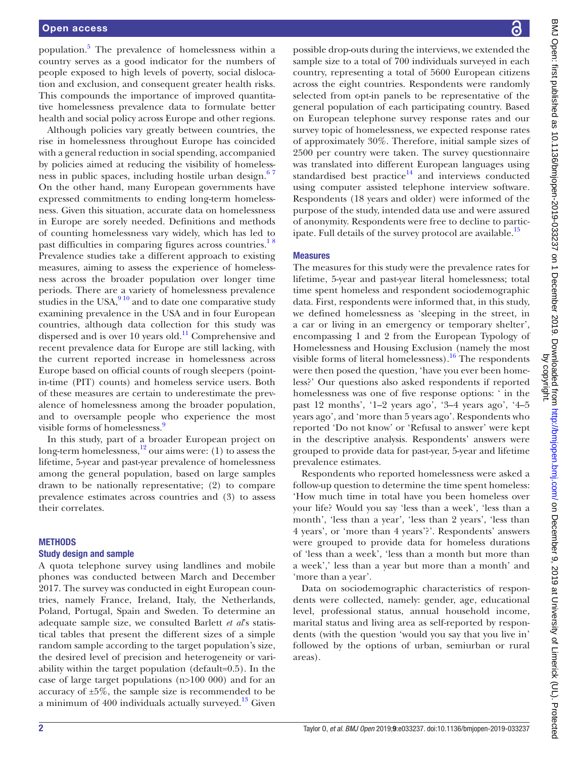population.<sup>5</sup> The prevalence of homelessness within a country serves as a good indicator for the numbers of people exposed to high levels of poverty, social dislocation and exclusion, and consequent greater health risks. This compounds the importance of improved quantitative homelessness prevalence data to formulate better health and social policy across Europe and other regions.

Although policies vary greatly between countries, the rise in homelessness throughout Europe has coincided with a general reduction in social spending, accompanied by policies aimed at reducing the visibility of homelessness in public spaces, including hostile urban design.<sup>67</sup> On the other hand, many European governments have expressed commitments to ending long-term homelessness. Given this situation, accurate data on homelessness in Europe are sorely needed. Definitions and methods of counting homelessness vary widely, which has led to past difficulties in comparing figures across countries.<sup>18</sup> Prevalence studies take a different approach to existing measures, aiming to assess the experience of homelessness across the broader population over longer time periods. There are a variety of homelessness prevalence studies in the USA, $910$  and to date one comparative study examining prevalence in the USA and in four European countries, although data collection for this study was dispersed and is over 10 years old. $^{11}$  Comprehensive and recent prevalence data for Europe are still lacking, with the current reported increase in homelessness across Europe based on official counts of rough sleepers (pointin-time (PIT) counts) and homeless service users. Both of these measures are certain to underestimate the prevalence of homelessness among the broader population, and to oversample people who experience the most visible forms of homelessness.<sup>[9](#page-12-6)</sup>

In this study, part of a broader European project on long-term homelessness, $\frac{12}{2}$  $\frac{12}{2}$  $\frac{12}{2}$  our aims were: (1) to assess the lifetime, 5-year and past-year prevalence of homelessness among the general population, based on large samples drawn to be nationally representative; (2) to compare prevalence estimates across countries and (3) to assess their correlates.

#### **METHODS**

#### Study design and sample

A quota telephone survey using landlines and mobile phones was conducted between March and December 2017. The survey was conducted in eight European countries, namely France, Ireland, Italy, the Netherlands, Poland, Portugal, Spain and Sweden. To determine an adequate sample size, we consulted Barlett *et al*'s statistical tables that present the different sizes of a simple random sample according to the target population's size, the desired level of precision and heterogeneity or variability within the target population (default=0.5). In the case of large target populations (n>100 000) and for an accuracy of ±5%, the sample size is recommended to be a minimum of  $400$  individuals actually surveyed.<sup>13</sup> Given

possible drop-outs during the interviews, we extended the sample size to a total of 700 individuals surveyed in each country, representing a total of 5600 European citizens across the eight countries. Respondents were randomly selected from opt-in panels to be representative of the general population of each participating country. Based on European telephone survey response rates and our survey topic of homelessness, we expected response rates of approximately 30%. Therefore, initial sample sizes of 2500 per country were taken. The survey questionnaire was translated into different European languages using standardised best practice $14$  and interviews conducted using computer assisted telephone interview software. Respondents (18 years and older) were informed of the purpose of the study, intended data use and were assured of anonymity. Respondents were free to decline to partic-ipate. Full details of the survey protocol are available.<sup>[15](#page-12-11)</sup>

#### **Measures**

The measures for this study were the prevalence rates for lifetime, 5-year and past-year literal homelessness; total time spent homeless and respondent sociodemographic data. First, respondents were informed that, in this study, we defined homelessness as 'sleeping in the street, in a car or living in an emergency or temporary shelter', encompassing 1 and 2 from the European Typology of Homelessness and Housing Exclusion (namely the most visible forms of literal homelessness).<sup>[16](#page-12-12)</sup> The respondents were then posed the question, 'have you ever been homeless?' Our questions also asked respondents if reported homelessness was one of five response options: ' in the past 12 months', '1–2 years ago', '3–4 years ago', '4–5 years ago', and 'more than 5 years ago'. Respondents who reported 'Do not know' or 'Refusal to answer' were kept in the descriptive analysis. Respondents' answers were grouped to provide data for past-year, 5-year and lifetime prevalence estimates.

Respondents who reported homelessness were asked a follow-up question to determine the time spent homeless: 'How much time in total have you been homeless over your life? Would you say 'less than a week', 'less than a month', 'less than a year', 'less than 2 years', 'less than 4 years', or 'more than 4 years'?'. Respondents' answers were grouped to provide data for homeless durations of 'less than a week', 'less than a month but more than a week',' less than a year but more than a month' and 'more than a year'.

Data on sociodemographic characteristics of respondents were collected, namely: gender, age, educational level, professional status, annual household income, marital status and living area as self-reported by respondents (with the question 'would you say that you live in' followed by the options of urban, semiurban or rural areas).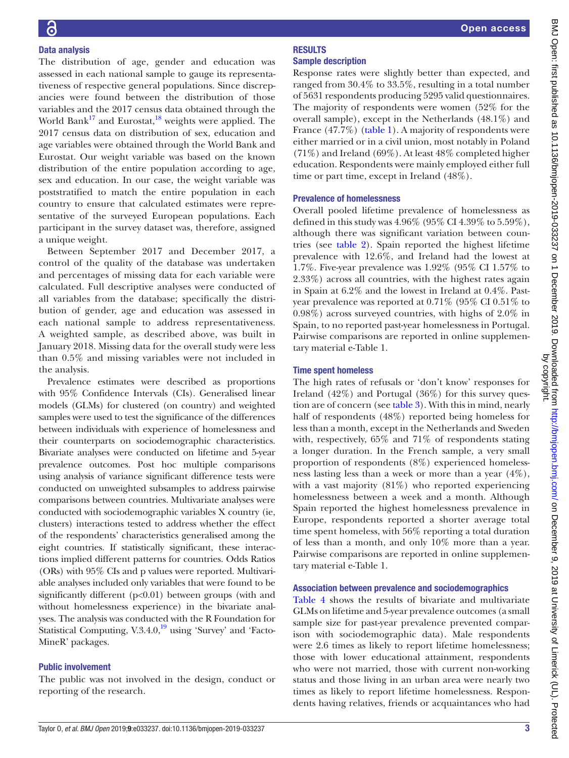# Data analysis

The distribution of age, gender and education was assessed in each national sample to gauge its representativeness of respective general populations. Since discrepancies were found between the distribution of those variables and the 2017 census data obtained through the World Bank<sup>17</sup> and Eurostat,<sup>18</sup> weights were applied. The 2017 census data on distribution of sex, education and age variables were obtained through the World Bank and Eurostat. Our weight variable was based on the known distribution of the entire population according to age, sex and education. In our case, the weight variable was poststratified to match the entire population in each country to ensure that calculated estimates were representative of the surveyed European populations. Each participant in the survey dataset was, therefore, assigned a unique weight.

Between September 2017 and December 2017, a control of the quality of the database was undertaken and percentages of missing data for each variable were calculated. Full descriptive analyses were conducted of all variables from the database; specifically the distribution of gender, age and education was assessed in each national sample to address representativeness. A weighted sample, as described above, was built in January 2018. Missing data for the overall study were less than 0.5% and missing variables were not included in the analysis.

Prevalence estimates were described as proportions with 95% Confidence Intervals (CIs). Generalised linear models (GLMs) for clustered (on country) and weighted samples were used to test the significance of the differences between individuals with experience of homelessness and their counterparts on sociodemographic characteristics. Bivariate analyses were conducted on lifetime and 5-year prevalence outcomes. Post hoc multiple comparisons using analysis of variance significant difference tests were conducted on unweighted subsamples to address pairwise comparisons between countries. Multivariate analyses were conducted with sociodemographic variables X country (ie, clusters) interactions tested to address whether the effect of the respondents' characteristics generalised among the eight countries. If statistically significant, these interactions implied different patterns for countries. Odds Ratios (ORs) with 95% CIs and p values were reported. Multivariable analyses included only variables that were found to be significantly different (p<0.01) between groups (with and without homelessness experience) in the bivariate analyses. The analysis was conducted with the R Foundation for Statistical Computing, V.3.4.0, $\frac{19}{19}$  using 'Survey' and 'Facto-MineR' packages.

### Public involvement

The public was not involved in the design, conduct or reporting of the research.

# **RESULTS** Sample description

Response rates were slightly better than expected, and ranged from 30.4% to 33.5%, resulting in a total number of 5631 respondents producing 5295 valid questionnaires. The majority of respondents were women (52% for the overall sample), except in the Netherlands (48.1%) and France (47.7%) ([table](#page-3-0) 1). A majority of respondents were either married or in a civil union, most notably in Poland (71%) and Ireland (69%). At least 48% completed higher education. Respondents were mainly employed either full time or part time, except in Ireland (48%).

#### Prevalence of homelessness

Overall pooled lifetime prevalence of homelessness as defined in this study was  $4.96\%$  (95% CI  $4.39\%$  to  $5.59\%$ ), although there was significant variation between countries (see [table](#page-5-0) 2). Spain reported the highest lifetime prevalence with 12.6%, and Ireland had the lowest at 1.7%. Five-year prevalence was 1.92% (95% CI 1.57% to 2.33%) across all countries, with the highest rates again in Spain at 6.2% and the lowest in Ireland at 0.4%. Pastyear prevalence was reported at 0.71% (95% CI 0.51% to 0.98%) across surveyed countries, with highs of 2.0% in Spain, to no reported past-year homelessness in Portugal. Pairwise comparisons are reported in [online supplemen](https://dx.doi.org/10.1136/bmjopen-2019-033237)[tary material e-Table 1.](https://dx.doi.org/10.1136/bmjopen-2019-033237)

#### Time spent homeless

The high rates of refusals or 'don't know' responses for Ireland (42%) and Portugal (36%) for this survey question are of concern (see [table](#page-6-0) 3). With this in mind, nearly half of respondents (48%) reported being homeless for less than a month, except in the Netherlands and Sweden with, respectively, 65% and 71% of respondents stating a longer duration. In the French sample, a very small proportion of respondents (8%) experienced homelessness lasting less than a week or more than a year (4%), with a vast majority (81%) who reported experiencing homelessness between a week and a month. Although Spain reported the highest homelessness prevalence in Europe, respondents reported a shorter average total time spent homeless, with 56% reporting a total duration of less than a month, and only 10% more than a year. Pairwise comparisons are reported in [online supplemen](https://dx.doi.org/10.1136/bmjopen-2019-033237)[tary material e-Table 1.](https://dx.doi.org/10.1136/bmjopen-2019-033237)

#### Association between prevalence and sociodemographics

[Table](#page-7-0) 4 shows the results of bivariate and multivariate GLMs on lifetime and 5-year prevalence outcomes (a small sample size for past-year prevalence prevented comparison with sociodemographic data). Male respondents were 2.6 times as likely to report lifetime homelessness; those with lower educational attainment, respondents who were not married, those with current non-working status and those living in an urban area were nearly two times as likely to report lifetime homelessness. Respondents having relatives, friends or acquaintances who had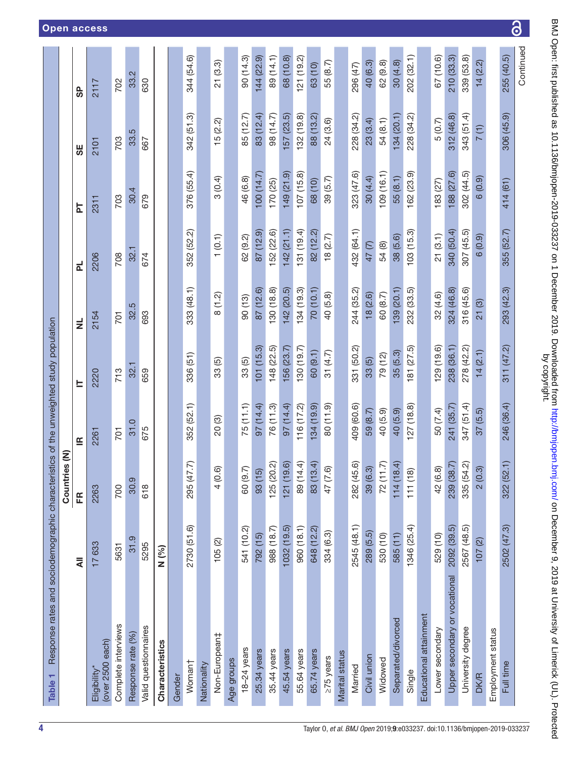| Response rates and sociodemographic characteristics of the unweighted study population<br>Table 1 |             |                                      |               |             |                   |            |            |            |            |
|---------------------------------------------------------------------------------------------------|-------------|--------------------------------------|---------------|-------------|-------------------|------------|------------|------------|------------|
|                                                                                                   |             | Countries (N)                        |               |             |                   |            |            |            |            |
|                                                                                                   | ₹           | 뚠                                    | $\subseteq$   | 느           | $\vec{z}$         | ᇍ          | 눕          | SΕ         | မှ         |
| (over 2500 each)<br>Eligibility                                                                   | 17633       | 2263                                 | 2261          | 2220        | 2154              | 2206       | 2311       | 2101       | 2117       |
| Complete interviews                                                                               | 5631        | 700                                  | <b>701</b>    | 713         | 701               | 708        | 703        | 703        | 702        |
| Response rate (%)                                                                                 | 31.9        | 30.9                                 | 31.0          | 32.1        | 32.5              | 32.1       | 30.4       | 33.5       | 33.2       |
| Valid questionnaires                                                                              | 5295        | 618                                  | 675           | 659         | 693               | 674        | 679        | 667        | 630        |
| <b>Characteristics</b>                                                                            | N(%         |                                      |               |             |                   |            |            |            |            |
| Gender                                                                                            |             |                                      |               |             |                   |            |            |            |            |
| Woman†                                                                                            | 2730 (51.6) | 7<br>295 (47                         | (52.1)<br>352 | 336 (51)    | 333 (48.1)        | 352 (52.2) | 376 (55.4) | 342 (51.3) | 344 (54.6) |
| Nationality                                                                                       |             |                                      |               |             |                   |            |            |            |            |
| Non-European‡                                                                                     | 105(2)      | 4(0.6)                               | 20(3)         | 33(5)       | (1.2)<br>$\infty$ | 1(0.1)     | 3(0.4)     | 15(2.2)    | 21(3.3)    |
| Age groups                                                                                        |             |                                      |               |             |                   |            |            |            |            |
| 18-24 years                                                                                       | 541 (10.2)  | 60 (9.7)                             | 75(11.1)      | 33(5)       | 90 (13)           | 62 (9.2)   | 46 (6.8)   | 85 (12.7)  | 90(14.3)   |
| 25.34 years                                                                                       | 792 (15)    | 93 (15)                              | 97(14.4)      | 101(15.3)   | 87 (12.6)         | 87 (12.9)  | 100 (14.7) | 83 (12.4)  | 144(22.9)  |
| 35.44 years                                                                                       | 988 (18.7)  | 125(20.2)                            | 76 (11.3)     | 148(22.5)   | 130 (18.8)        | 152 (22.6) | 170 (25)   | 98 (14.7)  | 89 (14.1)  |
| 45.54 years                                                                                       | 1032(19.5)  | $\widehat{\circ}$<br>121(19.         | 97(14.4)      | 156(23.7)   | 142 (20.5)        | 142(21.1)  | 149 (21.9) | 157(23.5)  | 68 (10.8)  |
| 55.64 years                                                                                       | 960 (18.1)  | $\triangleq$<br>89 (14.4)            | 116 (17.2)    | 130 (19.7)  | 134(19.3)         | 131(19.4)  | 107(15.8)  | 132(19.8)  | 121(19.2)  |
| 65.74 years                                                                                       | 648 (12.2)  | $\bigoplus$<br>83 (13.               | 34 (19.9)     | 60 (9.1)    | 70(10.1)          | 82 (12.2)  | 68 (10)    | 88 (13.2)  | 63 (10)    |
| $\ge$ 75 years                                                                                    | 334 (6.3)   | 47 (7.6)                             | 80 (11.9)     | 31(4.7)     | 40 (5.8)          | 18(2.7)    | 39 (5.7)   | 24 (3.6)   | 55 (8.7)   |
| Marital status                                                                                    |             |                                      |               |             |                   |            |            |            |            |
| Married                                                                                           | 2545 (48.1) | 6<br>282 (45.                        | 409 (60.6)    | 331 (50.2)  | 244 (35.2)        | 432 (64.1) | 323 (47.6) | 228 (34.2) | 296 (47)   |
| Civil union                                                                                       | 289(5.5)    | 39(6.3)                              | 59 (8.7)      | 33(5)       | 18(2.6)           | 47(7)      | 30 (4.4)   | 23(3.4)    | 40 (6.3)   |
| Widowed                                                                                           | 530 (10)    | 72(11.7)                             | 40 (5.9)      | 79 (12)     | 60 (8.7)          | 54 (8)     | 109 (16.1) | 54 (8.1)   | 62 (9.8)   |
| Separated/divorced                                                                                | 585 (11)    | $\bigoplus$<br>114(18)               | 40 (5.9)      | 35(5.3)     | 139 (20.1)        | 38 (5.6)   | 55 (8.1)   | 134 (20.1) | 30(4.8)    |
| Single                                                                                            | 1346 (25.4) | 111(18)                              | 127(18.8)     | 181(27.5)   | 232 (33.5)        | 103(15.3)  | 162(23.9)  | 228 (34.2) | 202 (32.1) |
| Educational attainment                                                                            |             |                                      |               |             |                   |            |            |            |            |
| Lower secondary                                                                                   | 529 (10)    | 42 (6.8)                             | 50 (7.4)      | (129(19.6)) | 32 (4.6)          | 21(3.1)    | 183 (27)   | 5(0.7)     | 67 (10.6)  |
| Upper secondary or vocational                                                                     | 2092 (39.5) | $\overline{\mathcal{N}}$<br>239 (38. | 241 (35.7)    | 238 (36.1)  | 324 (46.8)        | 340 (50.4) | 188 (27.6) | 312 (46.8) | 210(33.3)  |
| University degree                                                                                 | 2567 (48.5) | $\widehat{\infty}$<br>335 (54.       | 347 (51.4)    | 278 (42.2)  | 316 (45.6)        | 307 (45.5) | 302 (44.5) | 343 (51.4) | 339 (53.8) |
| <b>DK/R</b>                                                                                       | 107(2)      | 2(0.3)                               | 37(5.5)       | 14(2.1)     | 21(3)             | 6(0.9)     | 6(0.9)     | 7(1)       | 14(2.2)    |
| Employment status                                                                                 |             |                                      |               |             |                   |            |            |            |            |
| Full time                                                                                         | 2502 (47.3) | $\widehat{+}$<br>322 (52)            | 246 (36.4)    | 311(47.2)   | 293 (42.3)        | 355 (52.7) | 414 (61)   | 306 (45.9) | 255 (40.5) |
|                                                                                                   |             |                                      |               |             |                   |            |            |            | Continued  |

<span id="page-3-0"></span>by copyright.

 $\overline{\partial}$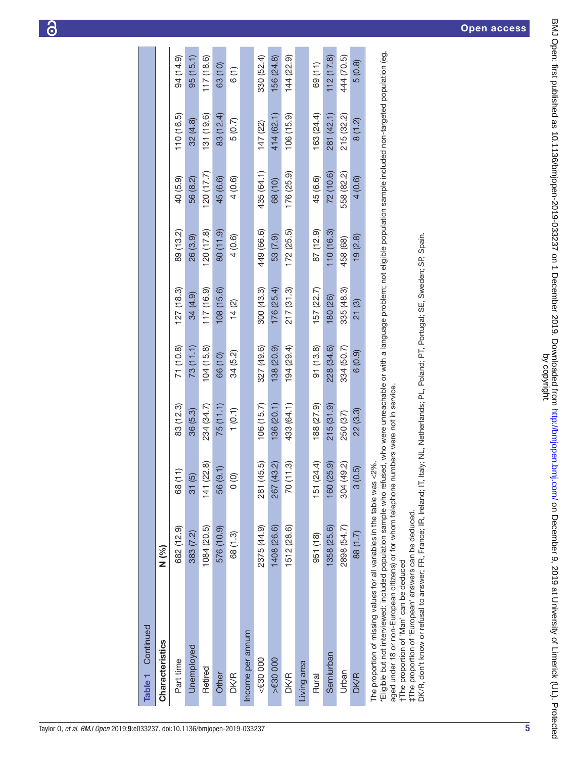6

| Table 1 Continued                                                                                                                                                                                                                                      |                 |                                              |            |            |            |            |            |            |            |
|--------------------------------------------------------------------------------------------------------------------------------------------------------------------------------------------------------------------------------------------------------|-----------------|----------------------------------------------|------------|------------|------------|------------|------------|------------|------------|
| Characteristics                                                                                                                                                                                                                                        | ତ<br> <br> <br> |                                              |            |            |            |            |            |            |            |
| Part time                                                                                                                                                                                                                                              | 682 (12.9)      | $\begin{pmatrix} 1 \\ 2 \end{pmatrix}$<br>89 | 83 (12.3)  | 71 (10.8)  | 127 (18.3) | 89 (13.2)  | 40 (5.9)   | 110(16.5)  | 94 (14.9)  |
| Unemployed                                                                                                                                                                                                                                             | 383 (7.2)       | බ<br>51                                      | 36 (5.3)   | 73(11.1)   | 34 (4.9)   | 26 (3.9)   | 56 (8.2)   | 32(4.8)    | 95(15.1)   |
| Retired                                                                                                                                                                                                                                                | 1084 (20.5)     | (22.8)<br>141                                | 234 (34.7) | 104(15.8)  | 117 (16.9) | 120 (17.8) | (7.7)      | 131(19.6)  | 117(18.6)  |
| Other                                                                                                                                                                                                                                                  | 576 (10.9)      | (9.1)<br>56                                  | 75(11.1)   | 66 (10)    | (08(15.6)  | 80 (11.9)  | 45 (6.6)   | 83 (12.4)  | 63 (10)    |
| <b>DK/R</b>                                                                                                                                                                                                                                            | 68 (1.3)        | ව<br>0                                       | 1(0.1)     | 34 (5.2)   | 14(2)      | 4(0.6)     | 4(0.6)     | 5(0.7)     | 6(1)       |
| Income per annum                                                                                                                                                                                                                                       |                 |                                              |            |            |            |            |            |            |            |
| < 30000                                                                                                                                                                                                                                                | 2375 (44.9)     | (45.5)<br>281                                | 106(15.7)  | 327 (49.6) | 300(43.3)  | 449 (66.6) | 435 (64.1) | 147 (22)   | 330 (52.4) |
| >630000                                                                                                                                                                                                                                                | 1408 (26.6)     | (43.2)<br>267                                | 136(20.1)  | 138 (20.9) | 176(25.4)  | 53 (7.9)   | 68 (10)    | 414 (62.1) | 156 (24.8) |
| <b>DK/R</b>                                                                                                                                                                                                                                            | 1512 (28.6)     | (11.3)<br>20                                 | 433 (64.1) | 194(29.4)  | 217(31.3)  | 172 (25.5) | 176 (25.9) | 106 (15.9) | 144 (22.9) |
| Living area                                                                                                                                                                                                                                            |                 |                                              |            |            |            |            |            |            |            |
| Rural                                                                                                                                                                                                                                                  | 951 (18)        | (24.4)<br>151                                | (27.9)     | 91(13.8)   | 157(22.7)  | 87 (12.9)  | 45 (6.6)   | 163 (24.4) | 69 (11)    |
| Semiurban                                                                                                                                                                                                                                              | 1358 (25.6)     | (25.9)<br>160                                | 215(31.9)  | 228 (34.6) | 180 (26)   | 110(16.3)  | 72 (10.6)  | 281 (42.1) | 112(17.8)  |
| Urban                                                                                                                                                                                                                                                  | 2898 (54.7)     | (49.2)<br>304                                | 250 (37)   | 334 (50.7) | 335 (48.3) | 458 (68)   | 558 (82.2) | 215 (32.2) | 444 (70.5) |
| <b>DK/R</b>                                                                                                                                                                                                                                            | 88 (1.7)        | (0.5)<br>က                                   | 22(3.3)    | 6 (0.9)    | 21(3)      | 19 (2.8)   | 4(0.6)     | 8 (1.2)    | 5(0.8)     |
| Flighte but not interviewed: included population sample who refused who rear who we unreached a popularm or eligible population sample included non-targeted population leg<br>The proportion of missing values for all variables in the table was <2% |                 |                                              |            |            |            |            |            |            |            |

**Tara** 

 $\mathcal{L}^{\text{max}}$ 

 $\mathbb{R}^n$ 

**Tara** 

 $\mathcal{L}^{\text{max}}$ 

 $\mathcal{O}(\mathbb{R}^d)$ 

P.

ູ<br>ຕູ \*Eligible but not interviewed: included population sample who refused, who were unreachable or with a language problem; not eligible population sample included non-targeted population (eg, 5 5. ℶ 5 5. 5) 5) Liigiure but not intervieweu. Illiciuded population sample wiro renaseu, wiro were unieachadie<br>aged under 18 or non-European citizens) or for whom telephone numbers were not in service. aged under 18 or non-European citizens) or for whom telephone numbers were not in service.

t<sup>T</sup>he proportion of 'Man' can be deduced †The proportion of 'Man' can be deduced

‡The proportion of 'European' answers can be deduced.<br>DK/R, don't know or refusal to answer; FR, France; IR, Ireland; IT, Italy; NL, Netherlands; PL, Poland; PT, Portugal; SE, Sweden; SP, Spain. DK/R, don't know or refusal to answer; FR, France; IR, Ireland; IT, Italy; NL, Netherlands; PL, Poland; PT, Portugal; SE, Sweden; SP, Spain. ‡The proportion of 'European' answers can be deduced.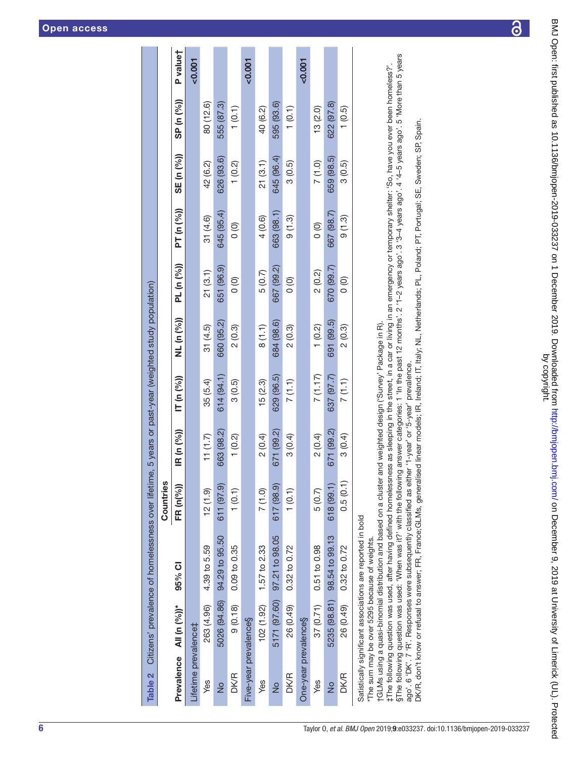|                       |                         | Table 2 Citizens' prevalence of homelessness over lifetime,                                                 |            |               |               | 5 years or past-year (weighted study population) |               |               |            |            |          |
|-----------------------|-------------------------|-------------------------------------------------------------------------------------------------------------|------------|---------------|---------------|--------------------------------------------------|---------------|---------------|------------|------------|----------|
|                       |                         |                                                                                                             | Countries  |               |               |                                                  |               |               |            |            |          |
|                       | Prevalence All (n (%))* | 95% CI                                                                                                      | FR (n(%))  | IR (n $(%)$ ) | IT (n $(%)$ ) | NL (n (%))                                       | PL (n (%))    | PT (n (%))    | SE (n (%)) | SP (n (%)) | P valuet |
| Lifetime prevalence‡  |                         |                                                                                                             |            |               |               |                                                  |               |               |            |            | $-0.001$ |
| Yes                   | 263 (4.96)              | 4.39 to 5.59                                                                                                | 12(1.9)    | 11(1.7)       | 35 (5.4)      | 31(4.5)                                          | 21(3.1)       | 31 (4.6)      | 42 (6.2)   | 80 (12.6)  |          |
| $\frac{1}{2}$         |                         | 5026 (94.86) 94.29 to 95.50                                                                                 | 611 (97.9) | 663 (98.2)    | 614 (94.1)    | 660 (95.2)                                       | 651 (96.9)    | 645 (95.4)    | 626 (93.6) | 555 (87.3) |          |
| <b>DK/R</b>           | 9(0.18)                 | 0.09 to 0.35                                                                                                | 1(0.1)     | 1(0.2)        | 3(0.5)        | 2(0.3)                                           | $\frac{1}{2}$ | $\frac{1}{2}$ | 1(0.2)     | 1(0.1)     |          |
| Five-year prevalences |                         |                                                                                                             |            |               |               |                                                  |               |               |            |            | $-0.001$ |
| Yes                   | 102 (1.92)              | 1.57 to 2.33                                                                                                | 7(1.0)     | 2(0.4)        | 15(2.3)       | 8(1.1)                                           | 5(0.7)        | 4(0.6)        | 21(3.1)    | 40 (6.2)   |          |
| $\frac{1}{2}$         | 5171 (97.60)            | 97.21 to 98.05                                                                                              | 617 (98.9) | 671 (99.2)    | 629 (96.5)    | 684 (98.6)                                       | 667 (99.2)    | 663 (98.1)    | 645 (96.4) | 595 (93.6) |          |
| <b>DK/R</b>           | 26 (0.49)               | 0.32 to 0.72                                                                                                | 1(0.1)     | 3(0.4)        | 7(1.1)        | 2(0.3)                                           | $\frac{1}{2}$ | 9(1.3)        | 3(0.5)     | 1(0.1)     |          |
| One-year prevalences  |                         |                                                                                                             |            |               |               |                                                  |               |               |            |            | 0.007    |
| Yes                   | 37(0.71)                | 0.51 to 0.98                                                                                                | 5(0.7)     | 2(0.4)        | 7(1.17)       | 1(0.2)                                           | 2(0.2)        | $\frac{1}{2}$ | 7(1.0)     | 13(2.0)    |          |
| $\frac{1}{2}$         | 5235 (98.81)            | 98.54 to 99.13                                                                                              | 618 (99.1) | 671 (99.2)    | 637 (97.7)    | 691 (99.5)                                       | 670 (99.7)    | 667 (98.7)    | 659 (98.5) | 622 (97.8) |          |
| <b>DK/R</b>           | 26 (0.49)               | 0.32 to 0.72                                                                                                | 0.5(0.1)   | 3(0.4)        | 7(1.1)        | 2(0.3)                                           | $\frac{1}{2}$ | 9(1.3)        | 3(0.5)     | 1(0.5)     |          |
|                       |                         | Satistically significant associations are reported in bold<br>*The sum may be over 5295 because of weights. |            |               |               |                                                  |               |               |            |            |          |

<span id="page-5-0"></span>fGLMs using a quasi-binomial distribution and based on a cluster and weighted design ('Survey' Package in R).

†GLMs using a quasi-binomial distribution and based on a cluster and weighted design ('Survey' Package in R).

SThe following question was used: 'When was it?' with the following answer categories: 1 'In the past 12 months'. 2 '1-2 years ago'. 3 '3-4 years ago'. 4 '4-5 years ago'. 5 'More than 5 years  $\S$ The following question was used: 'When was it?' with the following answer categories: 1 'In the past 12 months'. 2 '1–2 years ago'. 3 '3–4 years ago'. 4 '4–5 years ago'. 5 'More than 5 years FThe following question was used, after having defined homelessness as sleeping in the street, in a car or living in an emergency or temporary shelter: 'So, have you ever been homeless?'. ‡The following question was used, after having defined homelessness as sleeping in the street, in a car or living in an emergency or temporary shelter: 'So, have you ever been homeless?'.

ago'. 6 'DK'. 7 'R'. Responses were subsequently classified as either '1-year' or '5-year' prevalence.<br>DK/R, don't know or refusal to answer; FR, France;GLMs, generalised linear models; IR, Ireland; IT, Italy; NL, Netherla DK/R, don't know or refusal to answer; FR, France;GLMs, generalised linear models; IR, Ireland; IT, Italy; NL, Netherlands; PL, Poland; PT, Portugal; SE, Sweden; SP, Spain. ago'. 6 'DK'. 7 'R'. Responses were subsequently classified as either '1-year' or '5-year' prevalence.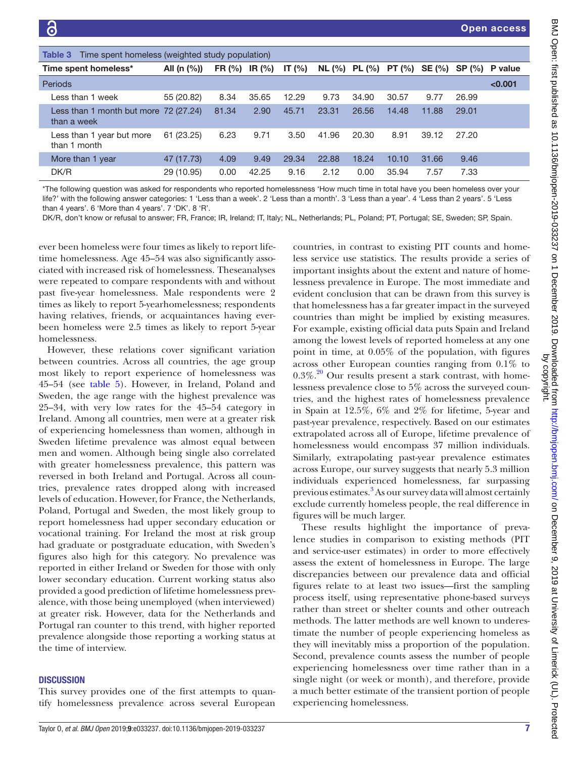<span id="page-6-0"></span>

| Time spent homeless (weighted study population)<br>Table 3 |                 |        |           |            |               |               |                        |       |       |         |
|------------------------------------------------------------|-----------------|--------|-----------|------------|---------------|---------------|------------------------|-------|-------|---------|
| Time spent homeless*                                       | All (n $(\%)$ ) | FR (%) | IR $(\%)$ | IT $(\% )$ | <b>NL</b> (%) | <b>PL (%)</b> | $PT$ (%) SE (%) SP (%) |       |       | P value |
| Periods                                                    |                 |        |           |            |               |               |                        |       |       | < 0.001 |
| Less than 1 week                                           | 55 (20.82)      | 8.34   | 35.65     | 12.29      | 9.73          | 34.90         | 30.57                  | 9.77  | 26.99 |         |
| Less than 1 month but more $72$ (27.24)<br>than a week     |                 | 81.34  | 2.90      | 45.71      | 23.31         | 26.56         | 14.48                  | 11.88 | 29.01 |         |
| Less than 1 year but more<br>than 1 month                  | 61 (23.25)      | 6.23   | 9.71      | 3.50       | 41.96         | 20.30         | 8.91                   | 39.12 | 27.20 |         |
| More than 1 year                                           | 47 (17.73)      | 4.09   | 9.49      | 29.34      | 22.88         | 18.24         | 10.10                  | 31.66 | 9.46  |         |
| DK/R                                                       | 29 (10.95)      | 0.00   | 42.25     | 9.16       | 2.12          | 0.00          | 35.94                  | 7.57  | 7.33  |         |

\*The following question was asked for respondents who reported homelessness 'How much time in total have you been homeless over your life?' with the following answer categories: 1 'Less than a week'. 2 'Less than a month'. 3 'Less than a year'. 4 'Less than 2 years'. 5 'Less than 4 years'. 6 'More than 4 years'. 7 'DK'. 8 'R'.

DK/R, don't know or refusal to answer; FR, France; IR, Ireland; IT, Italy; NL, Netherlands; PL, Poland; PT, Portugal; SE, Sweden; SP, Spain.

ever been homeless were four times as likely to report lifetime homelessness. Age 45–54 was also significantly associated with increased risk of homelessness. Theseanalyses were repeated to compare respondents with and without past five-year homelessness. Male respondents were 2 times as likely to report 5-yearhomelessness; respondents having relatives, friends, or acquaintances having everbeen homeless were 2.5 times as likely to report 5-year homelessness.

However, these relations cover significant variation between countries. Across all countries, the age group most likely to report experience of homelessness was 45–54 (see [table](#page-9-0) 5). However, in Ireland, Poland and Sweden, the age range with the highest prevalence was 25–34, with very low rates for the 45–54 category in Ireland. Among all countries, men were at a greater risk of experiencing homelessness than women, although in Sweden lifetime prevalence was almost equal between men and women. Although being single also correlated with greater homelessness prevalence, this pattern was reversed in both Ireland and Portugal. Across all countries, prevalence rates dropped along with increased levels of education. However, for France, the Netherlands, Poland, Portugal and Sweden, the most likely group to report homelessness had upper secondary education or vocational training. For Ireland the most at risk group had graduate or postgraduate education, with Sweden's figures also high for this category. No prevalence was reported in either Ireland or Sweden for those with only lower secondary education. Current working status also provided a good prediction of lifetime homelessness prevalence, with those being unemployed (when interviewed) at greater risk. However, data for the Netherlands and Portugal ran counter to this trend, with higher reported prevalence alongside those reporting a working status at the time of interview.

### **DISCUSSION**

This survey provides one of the first attempts to quantify homelessness prevalence across several European

countries, in contrast to existing PIT counts and homeless service use statistics. The results provide a series of important insights about the extent and nature of homelessness prevalence in Europe. The most immediate and evident conclusion that can be drawn from this survey is that homelessness has a far greater impact in the surveyed countries than might be implied by existing measures. For example, existing official data puts Spain and Ireland among the lowest levels of reported homeless at any one point in time, at 0.05% of the population, with figures across other European counties ranging from 0.1% to  $0.3\%$ .<sup>20</sup> Our results present a stark contrast, with homelessness prevalence close to 5% across the surveyed countries, and the highest rates of homelessness prevalence in Spain at 12.5%, 6% and 2% for lifetime, 5-year and past-year prevalence, respectively. Based on our estimates extrapolated across all of Europe, lifetime prevalence of homelessness would encompass 37 million individuals. Similarly, extrapolating past-year prevalence estimates across Europe, our survey suggests that nearly 5.3 million individuals experienced homelessness, far surpassing previous estimates.<sup>[3](#page-12-2)</sup> As our survey data will almost certainly exclude currently homeless people, the real difference in figures will be much larger.

These results highlight the importance of prevalence studies in comparison to existing methods (PIT and service-user estimates) in order to more effectively assess the extent of homelessness in Europe. The large discrepancies between our prevalence data and official figures relate to at least two issues—first the sampling process itself, using representative phone-based surveys rather than street or shelter counts and other outreach methods. The latter methods are well known to underestimate the number of people experiencing homeless as they will inevitably miss a proportion of the population. Second, prevalence counts assess the number of people experiencing homelessness over time rather than in a single night (or week or month), and therefore, provide a much better estimate of the transient portion of people experiencing homelessness.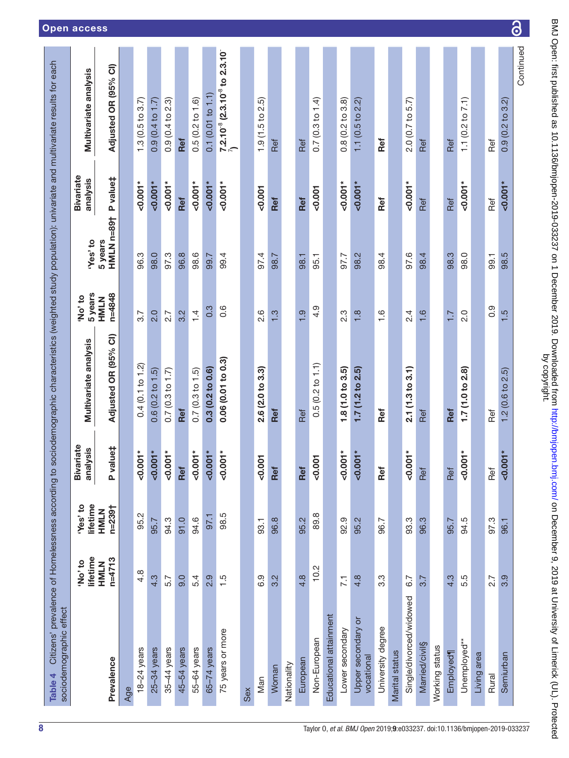<span id="page-7-0"></span>

| Citizens' prevalence of Homelessness according to<br>sociodemographic effect<br>Table 4 |                         |                      |                              | sociodemographic characteristics (weighted study population): univariate and multivariate results for each |                    |                                   |                              |                                                                   |
|-----------------------------------------------------------------------------------------|-------------------------|----------------------|------------------------------|------------------------------------------------------------------------------------------------------------|--------------------|-----------------------------------|------------------------------|-------------------------------------------------------------------|
|                                                                                         | lifetime<br>'No' to     | lifetime<br>'Yes' to | <b>Bivariate</b><br>analysis | Multivariate analysis                                                                                      | 5 years<br>'No' to | 'Yes' to                          | <b>Bivariate</b><br>analysis | Multivariate analysis                                             |
| Prevalence                                                                              | $n=4713$<br><b>HMLN</b> | $n = 239$<br>HMLN    | P value‡                     | Adjusted OR (95% CI)                                                                                       | $n = 4848$<br>HMLN | HMLN <sub>n=89</sub> +<br>5 years | P value‡                     | $\widehat{\sigma}$<br>Adjusted OR (95%                            |
| Age                                                                                     |                         |                      |                              |                                                                                                            |                    |                                   |                              |                                                                   |
| $18 - 24$ years                                                                         | 4.8                     | 95.2                 | $-0.001*$                    | 0.4(0.1 to 1.2)                                                                                            | 3.7                | 96.3                              | $0.001*$                     | $1.3(0.5)$ to $3.7$                                               |
| 25-34 years                                                                             | 4.3                     | 95.7                 | $-0.001*$                    | 0.6(0.2 to 1.5)                                                                                            | 2.0                | 98.0                              | $0.001*$                     | 0.9(0.4 to 1.7)                                                   |
| 35-44 years                                                                             | 5.7                     | 94.3                 | $-0.001*$                    | 0.7(0.3 to 1.7)                                                                                            | 2.7                | 97.3                              | $0.001*$                     | $2.\overline{3}$<br>0.9(0.4 to                                    |
| 45-54 years                                                                             | 9.0                     | 91.0                 | Ref                          | Ref                                                                                                        | 3.2                | 96.8                              | Ref                          | Ref                                                               |
| 55-64 years                                                                             | 5.4                     | 94.6                 | $0.001*$                     | 0.7(0.3 to 1.5)                                                                                            | 1.4                | 98.6                              | $0.001*$                     | 0.5(0.2 to 1.6)                                                   |
| 65-74 years                                                                             | 2.9                     | $-57.1$              | $-0.001*$                    | 0.3(0.2 to 0.6)                                                                                            | 0.3                | 99.7                              | $0.001*$                     | 0.1(0.01 to 1.1)                                                  |
| 75 years or more                                                                        | 1.5                     | 98.5                 | $-0.001*$                    | 0.06 (0.01 to 0.3)                                                                                         | $0.\overline{6}$   | 99.4                              | $0.001*$                     | $\frac{7.210^{8}}{1}$ (2.3.10 <sup>8</sup> to 2.3.10 <sup>7</sup> |
| Sex                                                                                     |                         |                      |                              |                                                                                                            |                    |                                   |                              |                                                                   |
| Man                                                                                     | 6.9                     | 93.1                 | 0.001                        | 2.6 (2.0 to 3.3)                                                                                           | 2.6                | 97.4                              | 0.001                        | (5, 5)<br>1.9(1.5 to                                              |
| Woman                                                                                   | 3.2                     | 96.8                 | Ref                          | Ref                                                                                                        | 1.3                | 98.7                              | Ref                          | Ref                                                               |
| Nationality                                                                             |                         |                      |                              |                                                                                                            |                    |                                   |                              |                                                                   |
| European                                                                                | 4.8                     | 95.2                 | Ref                          | Ref                                                                                                        | <u>ာ</u>           | 98.1                              | Ref                          | Ref                                                               |
| Non-European                                                                            | 10.2                    | 89.8                 | 0.001                        | 0.5(0.2 to 1.1)                                                                                            | 4.9                | 95.1                              | 0.007                        | 0.7(0.3 to 1.4)                                                   |
| Educational attainment                                                                  |                         |                      |                              |                                                                                                            |                    |                                   |                              |                                                                   |
| Lower secondary                                                                         | $\overline{7.1}$        | 92.9                 | $-0.001*$                    | 1.8(1.0 to 3.5)                                                                                            | $2.\overline{3}$   | 97.7                              | $0.001*$                     | 0.8(0.2 to 3.8)                                                   |
| Upper secondary or<br>vocational                                                        | 4.8                     | 95.2                 | $-0.001*$                    | 1.7(1.2 to 2.5)                                                                                            | 1.8                | 98.2                              | $0.001*$                     | $1.1(0.5)$ to 2.2)                                                |
| University degree                                                                       | 3.3                     | 96.7                 | Ref                          | Ref                                                                                                        | 1.6                | 98.4                              | Ref                          | Ref                                                               |
| Marital status                                                                          |                         |                      |                              |                                                                                                            |                    |                                   |                              |                                                                   |
| Single/divorced/widowed                                                                 | 6.7                     | 93.3                 | $-0.001*$                    | 2.1(1.3 to 3.1)                                                                                            | 2.4                | 97.6                              | $0.001*$                     | $2.0(0.7)$ to $5.7$                                               |
| Married/civil§                                                                          | 3.7                     | 96.3                 | Ref                          | Ref                                                                                                        | 1.6                | 98.4                              | Ref                          | Ref                                                               |
| Working status                                                                          |                         |                      |                              |                                                                                                            |                    |                                   |                              |                                                                   |
| <b>Employed</b>                                                                         | 4.3                     | 95.7                 | Ref                          | Ref                                                                                                        | 7.7                | 98.3                              | Ref                          | Ref                                                               |
| Unemployed**                                                                            | 5.5                     | 94.5                 | $-0.001*$                    | 2.8<br>1.7(1.0 to                                                                                          | 2.0                | 98.0                              | $-0.001*$                    | $1.1$ (0.2 to $7.1$ )                                             |
| Living area                                                                             |                         |                      |                              |                                                                                                            |                    |                                   |                              |                                                                   |
| Rural                                                                                   | 2.7                     | 97.3                 | Ref                          | Ref                                                                                                        | 0.9                | <b>99.1</b>                       | Ref                          | Ref                                                               |
| Semiurban                                                                               | 3.9                     | 96.1                 | $001*$<br>$\frac{1}{2}$      | 1.2(0.6 to 2.5)                                                                                            | 1.5                | 98.5                              | $0.001*$                     | 3.2<br>0.9(0.2 to                                                 |
|                                                                                         |                         |                      |                              |                                                                                                            |                    |                                   |                              | Continued                                                         |

 $\overline{\partial}$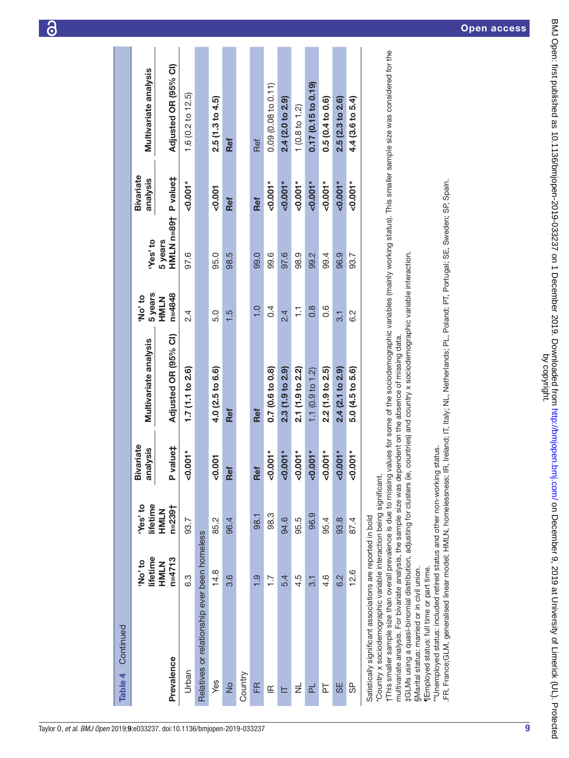|                                                                                                                                   | lifetime<br>'No' to | lifetime<br>'Yes' to | <b>Bivariate</b><br>analysis | Multivariate analysis                                                                                                                                                                       | 5 years<br>o <sub>1</sub> oN | 'Yes' to                       | <b>Bivariate</b><br>analysis | Multivariate analysis        |
|-----------------------------------------------------------------------------------------------------------------------------------|---------------------|----------------------|------------------------------|---------------------------------------------------------------------------------------------------------------------------------------------------------------------------------------------|------------------------------|--------------------------------|------------------------------|------------------------------|
| Prevalence                                                                                                                        | $n = 4713$<br>HMLN  | $n = 239$<br>HMLN    | P value‡                     | Adjusted OR (95% CI)                                                                                                                                                                        | $n = 4848$<br>HMLN           | HMLN n=89+ P valuet<br>5 years |                              | Adjusted OR (95% CI)         |
| Urban                                                                                                                             | ვ<br>ნ              | 93.7                 | $-0.001*$                    | 1.7 $(1.1$ to 2.6)                                                                                                                                                                          | $2\cdot$                     | 97.6                           | $0.001*$                     | 1.6 $(0.2 \text{ to } 12.5)$ |
| Relatives or relationship ever been homeless                                                                                      |                     |                      |                              |                                                                                                                                                                                             |                              |                                |                              |                              |
| Yes                                                                                                                               | 14.8                | 85.2                 | $-0.001$                     | 4.0(2.5 to 6.6)                                                                                                                                                                             | 5.0                          | 95.0                           | $-0.001$                     | 2.5(1.3 to 4.5)              |
| $\frac{1}{2}$                                                                                                                     | 3.6                 | 96.4                 | Ref                          | Ref                                                                                                                                                                                         | 1.5                          | 98.5                           | Ref                          | Ref                          |
| Country                                                                                                                           |                     |                      |                              |                                                                                                                                                                                             |                              |                                |                              |                              |
| ER                                                                                                                                | $\frac{0}{1}$       | 98.1                 | Ref                          | Ref                                                                                                                                                                                         | $\overline{1}$ .0            | 99.0                           | Ref                          | Ref                          |
| $\mathbf{r}$                                                                                                                      | $\overline{1}$ .    | 98.3                 | $-0.001*$                    | 0.7(0.6 to 0.8)                                                                                                                                                                             | $\sigma$                     | 99.6                           | $-0.001*$                    | 0.09(0.08 to 0.11)           |
| 느                                                                                                                                 | 5.4                 | 94.6                 | $-0.001*$                    | 2.3 (1.9 to 2.9)                                                                                                                                                                            | $\frac{4}{2}$                | 97.6                           | $0.001*$                     | 2.4(2.0 to 2.9)              |
| ž                                                                                                                                 | 4.5                 | 95.5                 | $-0.001*$                    | 2.1 (1.9 to 2.2)                                                                                                                                                                            | H                            | 98.9                           | $-0.001*$                    | $1(0.8 \text{ to } 1.2)$     |
| 군                                                                                                                                 | $\overline{3}$ .    | 96.9                 | $-0.001*$                    | 1.1(0.9 to 1.2)                                                                                                                                                                             | $0.\overline{8}$             | 99.2                           | $0.001*$                     | 0.17(0.15 to 0.19)           |
| 눕                                                                                                                                 | 4.6                 | 95.4                 | $-0.001*$                    | 2.2(1.9 to 2.5)                                                                                                                                                                             | o.o                          | 99.4                           | $0.001*$                     | 0.5(0.4 to 0.6)              |
| 58                                                                                                                                | 6.2                 | 93.8                 | $50.001*$                    | 2.4 (2.1 to 2.9)                                                                                                                                                                            | 31                           | 96.9                           | $0.001*$                     | 2.5 (2.3 to 2.6)             |
| မှ                                                                                                                                | 12.6                | 87.4                 | $-0.001*$                    | 5.0(4.5 to 5.6)                                                                                                                                                                             | Ο.<br>Θ                      | 93.7                           | $0.001*$                     | 4.4 (3.6 to 5.4)             |
| "Country x sociodemographic variable interaction being significant.<br>Satistically significant associations are reported in bold |                     |                      |                              | TThis smaller sample size than overall prevalence is due to missing values for some of the sociodernographic variables (mainly working status). This smaller sample size was considered for |                              |                                |                              |                              |

isidered for the †This smaller sample size than overall prevalence is due to missing values for some of the sociodemographic variables (mainly working status). This smaller sample size was considered for the multivariate analysis. For bivariate analysis, the sample size was dependent on the absence of missing data. multivariate analysis. For bivariate analysis, the sample size was dependent on the absence of missing data.

‡GLMs using a quasi-binomial distribution, adjusting for clusters (ie, countries) and country x sociodemographic variable interaction. ‡GLMs using a quasi-binomial distribution, adjusting for clusters (ie, countries) and country x sociodemographic variable interaction.

§Marital status: married or in civil union. §Marital status: married or in civil union.

**IEmployed status: full time or part time.** ¶Employed status: full time or part time.

\*\*Unemployed status: included retired status and other non-working status. \*\*Unemployed status: included retired status and other non-working status.

.FR, France;GLM, generalised linear model; HMLN, homelessness; IR, Ireland; IT, Italy; NL, Netherlands; PL, Poland; PT, Portugal; SE, Sweden; SP, Spain. .FR, France;GLM, generalised linear model; HMLN, homelessness; IR, Ireland; IT, Italy; NL, Netherlands; PL, Poland; PT, Portugal; SE, Sweden; SP, Spain.

6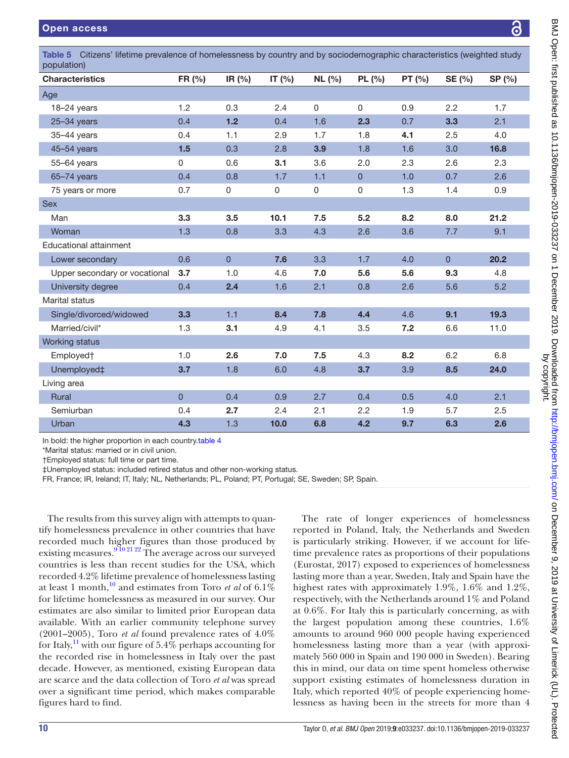<span id="page-9-0"></span>

| <b>Characteristics</b>        | FR (%)         | IR $(%)$       | IT $(\% )$          | NL(%)       | PL(%)       | PT $(%)$ | SE (%)         | SP (%) |
|-------------------------------|----------------|----------------|---------------------|-------------|-------------|----------|----------------|--------|
| Age                           |                |                |                     |             |             |          |                |        |
| $18 - 24$ years               | 1.2            | 0.3            | 2.4                 | $\mathbf 0$ | $\mathbf 0$ | 0.9      | 2.2            | 1.7    |
| $25 - 34$ years               | 0.4            | 1.2            | 0.4                 | 1.6         | 2.3         | 0.7      | 3.3            | 2.1    |
| $35-44$ years                 | 0.4            | 1.1            | 2.9                 | 1.7         | 1.8         | 4.1      | 2.5            | 4.0    |
| 45-54 years                   | 1.5            | 0.3            | 2.8                 | 3.9         | 1.8         | 1.6      | 3.0            | 16.8   |
| 55-64 years                   | 0              | 0.6            | 3.1                 | 3.6         | 2.0         | 2.3      | 2.6            | 2.3    |
| $65 - 74$ years               | 0.4            | 0.8            | 1.7                 | 1.1         | $\mathbf 0$ | 1.0      | 0.7            | 2.6    |
| 75 years or more              | 0.7            | $\mathsf 0$    | $\mathsf{O}\xspace$ | 0           | $\mathsf 0$ | 1.3      | 1.4            | 0.9    |
| <b>Sex</b>                    |                |                |                     |             |             |          |                |        |
| Man                           | 3.3            | 3.5            | 10.1                | 7.5         | 5.2         | 8.2      | 8.0            | 21.2   |
| Woman                         | 1.3            | 0.8            | 3.3                 | 4.3         | 2.6         | 3.6      | 7.7            | 9.1    |
| <b>Educational attainment</b> |                |                |                     |             |             |          |                |        |
| Lower secondary               | 0.6            | $\overline{0}$ | 7.6                 | 3.3         | 1.7         | 4.0      | $\overline{0}$ | 20.2   |
| Upper secondary or vocational | 3.7            | 1.0            | 4.6                 | 7.0         | 5.6         | 5.6      | 9.3            | 4.8    |
| University degree             | 0.4            | 2.4            | 1.6                 | 2.1         | 0.8         | 2.6      | 5.6            | 5.2    |
| Marital status                |                |                |                     |             |             |          |                |        |
| Single/divorced/widowed       | 3.3            | 1.1            | 8.4                 | 7.8         | 4.4         | 4.6      | 9.1            | 19.3   |
| Married/civil*                | 1.3            | 3.1            | 4.9                 | 4.1         | 3.5         | 7.2      | 6.6            | 11.0   |
| Working status                |                |                |                     |             |             |          |                |        |
| Employed†                     | 1.0            | 2.6            | 7.0                 | 7.5         | 4.3         | 8.2      | 6.2            | 6.8    |
| Unemployed‡                   | 3.7            | 1.8            | 6.0                 | 4.8         | 3.7         | 3.9      | 8.5            | 24.0   |
| Living area                   |                |                |                     |             |             |          |                |        |
| Rural                         | $\overline{0}$ | 0.4            | 0.9                 | 2.7         | 0.4         | 0.5      | 4.0            | 2.1    |
| Semiurban                     | 0.4            | 2.7            | 2.4                 | 2.1         | 2.2         | 1.9      | 5.7            | 2.5    |
| Urban                         | 4.3            | 1.3            | 10.0                | 6.8         | 4.2         | 9.7      | 6.3            | 2.6    |

In bold: the higher proportion in each country [table 4](#page-7-0)

\*Marital status: married or in civil union.

†Employed status: full time or part time.

‡Unemployed status: included retired status and other non-working status.

FR, France; IR, Ireland; IT, Italy; NL, Netherlands; PL, Poland; PT, Portugal; SE, Sweden; SP, Spain.

The results from this survey align with attempts to quantify homelessness prevalence in other countries that have recorded much higher figures than those produced by existing measures.<sup>9 10 21 22</sup> The average across our surveyed countries is less than recent studies for the USA, which recorded 4.2% lifetime prevalence of homelessness lasting at least 1 month,<sup>10</sup> and estimates from Toro *et al* of  $6.1\%$ for lifetime homelessness as measured in our survey. Our estimates are also similar to limited prior European data available. With an earlier community telephone survey (2001–2005), Toro *et al* found prevalence rates of 4.0% for Italy, $\frac{11}{11}$  with our figure of 5.4% perhaps accounting for the recorded rise in homelessness in Italy over the past decade. However, as mentioned, existing European data are scarce and the data collection of Toro *et al* was spread over a significant time period, which makes comparable figures hard to find.

The rate of longer experiences of homelessness reported in Poland, Italy, the Netherlands and Sweden is particularly striking. However, if we account for lifetime prevalence rates as proportions of their populations (Eurostat, 2017) exposed to experiences of homelessness lasting more than a year, Sweden, Italy and Spain have the highest rates with approximately 1.9%, 1.6% and 1.2%, respectively, with the Netherlands around 1% and Poland at 0.6%. For Italy this is particularly concerning, as with the largest population among these countries, 1.6% amounts to around 960 000 people having experienced homelessness lasting more than a year (with approximately 560 000 in Spain and 190 000 in Sweden). Bearing this in mind, our data on time spent homeless otherwise support existing estimates of homelessness duration in Italy, which reported 40% of people experiencing homelessness as having been in the streets for more than 4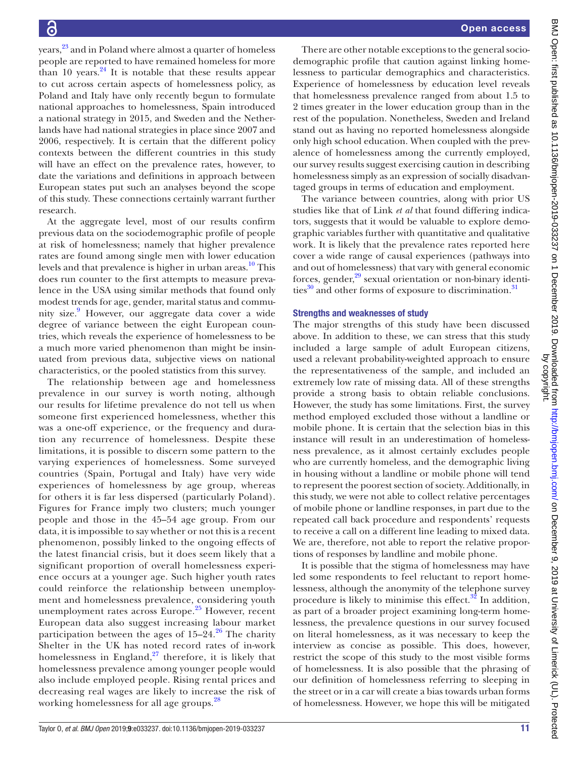years,<sup>23</sup> and in Poland where almost a quarter of homeless people are reported to have remained homeless for more than 10 years. $^{24}$  It is notable that these results appear to cut across certain aspects of homelessness policy, as Poland and Italy have only recently begun to formulate national approaches to homelessness, Spain introduced a national strategy in 2015, and Sweden and the Netherlands have had national strategies in place since 2007 and 2006, respectively. It is certain that the different policy contexts between the different countries in this study will have an effect on the prevalence rates, however, to date the variations and definitions in approach between European states put such an analyses beyond the scope of this study. These connections certainly warrant further research.

At the aggregate level, most of our results confirm previous data on the sociodemographic profile of people at risk of homelessness; namely that higher prevalence rates are found among single men with lower education levels and that prevalence is higher in urban areas.<sup>10</sup> This does run counter to the first attempts to measure prevalence in the USA using similar methods that found only modest trends for age, gender, marital status and commu-nity size.<sup>[9](#page-12-6)</sup> However, our aggregate data cover a wide degree of variance between the eight European countries, which reveals the experience of homelessness to be a much more varied phenomenon than might be insinuated from previous data, subjective views on national characteristics, or the pooled statistics from this survey.

The relationship between age and homelessness prevalence in our survey is worth noting, although our results for lifetime prevalence do not tell us when someone first experienced homelessness, whether this was a one-off experience, or the frequency and duration any recurrence of homelessness. Despite these limitations, it is possible to discern some pattern to the varying experiences of homelessness. Some surveyed countries (Spain, Portugal and Italy) have very wide experiences of homelessness by age group, whereas for others it is far less dispersed (particularly Poland). Figures for France imply two clusters; much younger people and those in the 45–54 age group. From our data, it is impossible to say whether or not this is a recent phenomenon, possibly linked to the ongoing effects of the latest financial crisis, but it does seem likely that a significant proportion of overall homelessness experience occurs at a younger age. Such higher youth rates could reinforce the relationship between unemployment and homelessness prevalence, considering youth unemployment rates across Europe.<sup>[25](#page-12-20)</sup> However, recent European data also suggest increasing labour market participation between the ages of  $15-24$ .<sup>26</sup> The charity Shelter in the UK has noted record rates of in-work homelessness in England, $27$  therefore, it is likely that homelessness prevalence among younger people would also include employed people. Rising rental prices and decreasing real wages are likely to increase the risk of working homelessness for all age groups.<sup>[28](#page-12-23)</sup>

There are other notable exceptions to the general sociodemographic profile that caution against linking homelessness to particular demographics and characteristics. Experience of homelessness by education level reveals that homelessness prevalence ranged from about 1.5 to 2 times greater in the lower education group than in the rest of the population. Nonetheless, Sweden and Ireland stand out as having no reported homelessness alongside only high school education. When coupled with the prevalence of homelessness among the currently employed, our survey results suggest exercising caution in describing homelessness simply as an expression of socially disadvantaged groups in terms of education and employment.

The variance between countries, along with prior US studies like that of Link *et al* that found differing indicators, suggests that it would be valuable to explore demographic variables further with quantitative and qualitative work. It is likely that the prevalence rates reported here cover a wide range of causal experiences (pathways into and out of homelessness) that vary with general economic forces, gender,<sup>29</sup> sexual orientation or non-binary identities $30$  and other forms of exposure to discrimination.<sup>[31](#page-12-26)</sup>

# Strengths and weaknesses of study

The major strengths of this study have been discussed above. In addition to these, we can stress that this study included a large sample of adult European citizens, used a relevant probability-weighted approach to ensure the representativeness of the sample, and included an extremely low rate of missing data. All of these strengths provide a strong basis to obtain reliable conclusions. However, the study has some limitations. First, the survey method employed excluded those without a landline or mobile phone. It is certain that the selection bias in this instance will result in an underestimation of homelessness prevalence, as it almost certainly excludes people who are currently homeless, and the demographic living in housing without a landline or mobile phone will tend to represent the poorest section of society. Additionally, in this study, we were not able to collect relative percentages of mobile phone or landline responses, in part due to the repeated call back procedure and respondents' requests to receive a call on a different line leading to mixed data. We are, therefore, not able to report the relative proportions of responses by landline and mobile phone.

It is possible that the stigma of homelessness may have led some respondents to feel reluctant to report homelessness, although the anonymity of the telephone survey procedure is likely to minimise this effect.<sup>32</sup> In addition, as part of a broader project examining long-term homelessness, the prevalence questions in our survey focused on literal homelessness, as it was necessary to keep the interview as concise as possible. This does, however, restrict the scope of this study to the most visible forms of homelessness. It is also possible that the phrasing of our definition of homelessness referring to sleeping in the street or in a car will create a bias towards urban forms of homelessness. However, we hope this will be mitigated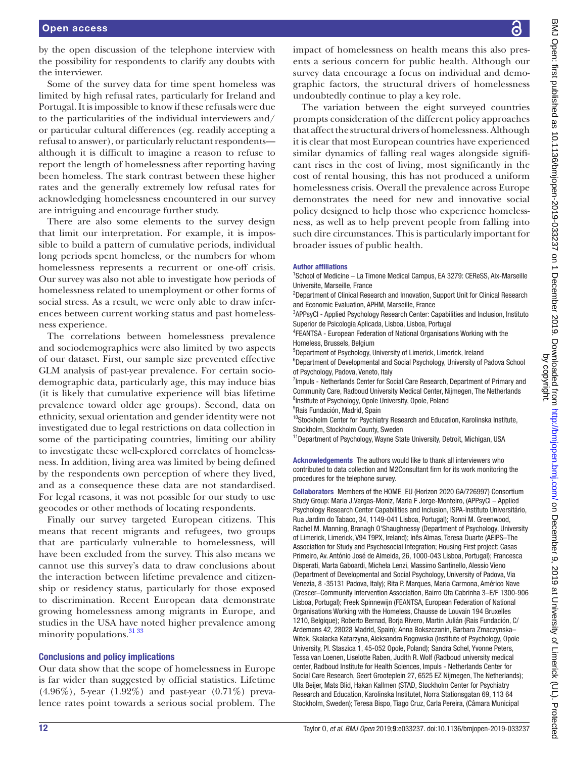by the open discussion of the telephone interview with the possibility for respondents to clarify any doubts with the interviewer.

Some of the survey data for time spent homeless was limited by high refusal rates, particularly for Ireland and Portugal. It is impossible to know if these refusals were due to the particularities of the individual interviewers and/ or particular cultural differences (eg. readily accepting a refusal to answer), or particularly reluctant respondents although it is difficult to imagine a reason to refuse to report the length of homelessness after reporting having been homeless. The stark contrast between these higher rates and the generally extremely low refusal rates for acknowledging homelessness encountered in our survey are intriguing and encourage further study.

There are also some elements to the survey design that limit our interpretation. For example, it is impossible to build a pattern of cumulative periods, individual long periods spent homeless, or the numbers for whom homelessness represents a recurrent or one-off crisis. Our survey was also not able to investigate how periods of homelessness related to unemployment or other forms of social stress. As a result, we were only able to draw inferences between current working status and past homelessness experience.

The correlations between homelessness prevalence and sociodemographics were also limited by two aspects of our dataset. First, our sample size prevented effective GLM analysis of past-year prevalence. For certain sociodemographic data, particularly age, this may induce bias (it is likely that cumulative experience will bias lifetime prevalence toward older age groups). Second, data on ethnicity, sexual orientation and gender identity were not investigated due to legal restrictions on data collection in some of the participating countries, limiting our ability to investigate these well-explored correlates of homelessness. In addition, living area was limited by being defined by the respondents own perception of where they lived, and as a consequence these data are not standardised. For legal reasons, it was not possible for our study to use geocodes or other methods of locating respondents.

Finally our survey targeted European citizens. This means that recent migrants and refugees, two groups that are particularly vulnerable to homelessness, will have been excluded from the survey. This also means we cannot use this survey's data to draw conclusions about the interaction between lifetime prevalence and citizenship or residency status, particularly for those exposed to discrimination. Recent European data demonstrate growing homelessness among migrants in Europe, and studies in the USA have noted higher prevalence among minority populations.<sup>31</sup> 33

#### Conclusions and policy implications

Our data show that the scope of homelessness in Europe is far wider than suggested by official statistics. Lifetime (4.96%), 5-year (1.92%) and past-year (0.71%) prevalence rates point towards a serious social problem. The

impact of homelessness on health means this also presents a serious concern for public health. Although our survey data encourage a focus on individual and demographic factors, the structural drivers of homelessness undoubtedly continue to play a key role.

The variation between the eight surveyed countries prompts consideration of the different policy approaches that affect the structural drivers of homelessness. Although it is clear that most European countries have experienced similar dynamics of falling real wages alongside significant rises in the cost of living, most significantly in the cost of rental housing, this has not produced a uniform homelessness crisis. Overall the prevalence across Europe demonstrates the need for new and innovative social policy designed to help those who experience homelessness, as well as to help prevent people from falling into such dire circumstances. This is particularly important for broader issues of public health.

#### Author affiliations

<sup>1</sup>School of Medicine - La Timone Medical Campus, EA 3279: CEReSS, Aix-Marseille Universite, Marseille, France

<sup>2</sup>Department of Clinical Research and Innovation, Support Unit for Clinical Research and Economic Evaluation, APHM, Marseille, France

<sup>3</sup>APPsyCI - Applied Psychology Research Center: Capabilities and Inclusion, Instituto Superior de Psicologia Aplicada, Lisboa, Lisboa, Portugal

4 FEANTSA - European Federation of National Organisations Working with the Homeless, Brussels, Belgium

5 Department of Psychology, University of Limerick, Limerick, Ireland

<sup>6</sup>Department of Developmental and Social Psychology, University of Padova School of Psychology, Padova, Veneto, Italy

<sup>7</sup> Impuls - Netherlands Center for Social Care Research, Department of Primary and Community Care, Radboud University Medical Center, Nijmegen, The Netherlands <sup>8</sup>Institute of Psychology, Opole University, Opole, Poland

<sup>9</sup>Rais Fundación, Madrid, Spain

<sup>10</sup>Stockholm Center for Psychiatry Research and Education, Karolinska Institute, Stockholm, Stockholm County, Sweden

<sup>11</sup>Department of Psychology, Wayne State University, Detroit, Michigan, USA

Acknowledgements The authors would like to thank all interviewers who contributed to data collection and M2Consultant firm for its work monitoring the procedures for the telephone survey.

Collaborators Members of the HOME\_EU (Horizon 2020 GA/726997) Consortium Study Group: Maria J.Vargas-Moniz, Maria F Jorge-Monteiro, (APPsyCI – Applied Psychology Research Center Capabilities and Inclusion, ISPA-Instituto Universitário, Rua Jardim do Tabaco, 34, 1149-041 Lisboa, Portugal); Ronni M. Greenwood, Rachel M. Manning, Branagh O'Shaughnessy (Department of Psychology, University of Limerick, Limerick, V94 T9PX, Ireland); Inês Almas, Teresa Duarte (AEIPS–The Association for Study and Psychosocial Integration; Housing First project: Casas Primeiro, Av. António José de Almeida, 26, 1000-043 Lisboa, Portugal); Francesca Disperati, Marta Gaboardi, Michela Lenzi, Massimo Santinello, Alessio Vieno (Department of Developmental and Social Psychology, University of Padova, Via Venezia, 8 -35131 Padova, Italy); Rita P. Marques, Maria Carmona, Américo Nave (Crescer–Community Intervention Association, Bairro Qta Cabrinha 3–E/F 1300-906 Lisboa, Portugal); Freek Spinnewijn (FEANTSA, European Federation of National Organisations Working with the Homeless, Chausse de Louvain 194 Bruxelles 1210, Belgique); Roberto Bernad, Borja Rivero, Martin Julián (Rais Fundación, C/ Ardemans 42, 28028 Madrid, Spain); Anna Bokszczanin, Barbara Zmaczynska– Witek, Skałacka Katarzyna, Aleksandra Rogowska (Institute of Psychology, Opole University, Pl. Staszica 1, 45-052 Opole, Poland); Sandra Schel, Yvonne Peters, Tessa van Loenen, Liselotte Raben, Judith R. Wolf (Radboud university medical center, Radboud Institute for Health Sciences, Impuls - Netherlands Center for Social Care Research, Geert Grooteplein 27, 6525 EZ Nijmegen, The Netherlands); Ulla Beijer, Mats Blid, Hakan Kallmen (STAD, Stockholm Center for Psychiatry Research and Education, Karolinska Institutet, Norra Stationsgatan 69, 113 64 Stockholm, Sweden); Teresa Bispo, Tiago Cruz, Carla Pereira, (Câmara Municipal